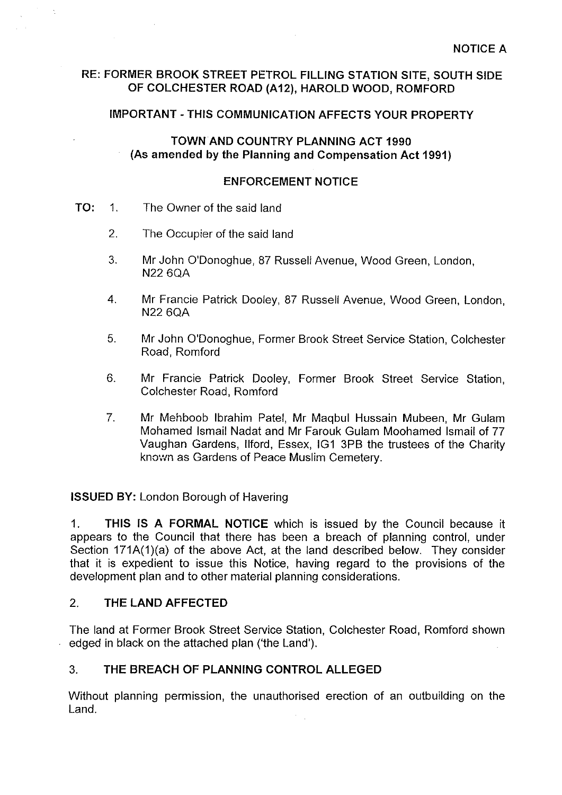### **RE: FORMER BROOK STREET PETROL FILLING STATION SITE, SOUTH SIDE OF COLCHESTER ROAD (A12), HAROLD WOOD, ROMFORD**

# **IMPORTANT-THIS COMMUNICATION AFFECTS YOUR PROPERTY**

### **TOWN AND COUNTRY PLANNING ACT 1990 (As amended by the Planning and Compensation Act 1991)**

# **ENFORCEMENT NOTICE**

- **TO:** 1. The Owner of the said land
	- 2. The Occupier of the said land
	- 3. Mr John O'Donoghue, 87 Russell Avenue, Wood Green, London, N22 6QA
	- 4. Mr Francie Patrick Dooley, 87 Russell Avenue, Wood Green, London, N22 6QA
	- 5. Mr John O'Donoghue, Former Brook Street Service Station, Colchester Road, Romford
	- 6. Mr Francie Patrick Dooley, Former Brook Street Service Station, Colchester Road, Romford
	- 7. Mr Mehboob Ibrahim Patel, Mr Maqbul Hussain Mubeen, Mr Gulam Mohamed Ismail Nadat and Mr Farouk Gulam Moohamed Ismail of 77 Vaughan Gardens, llford, Essex, IG1 3PB the trustees of the Charity known as Gardens of Peace Muslim Cemetery.

**ISSUED BY:** London Borough of Havering

1. **THIS IS A FORMAL NOTICE** which is issued by the Council because it appears to the Council that there has been a breach of planning control, under Section 171A(1)(a) of the above Act, at the land described below. They consider that it is expedient to issue this Notice, having regard to the provisions of the development plan and to other material planning considerations.

# 2. **THE LAND AFFECTED**

The land at Former Brook Street Service Station, Colchester Road, Romford shown edged in black on the attached plan ('the Land').

# 3. **THE BREACH OF PLANNING CONTROL ALLEGED**

Without planning permission, the unauthorised erection of an outbuilding on the Land.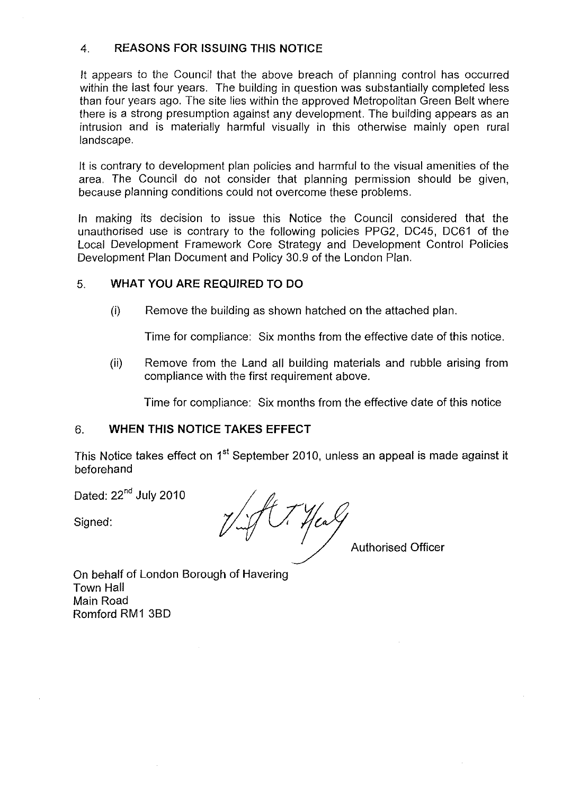### 4. **REASONS FOR ISSUING THIS NOTICE**

It appears to the Council that the above breach of planning control has occurred within the last four years. The building in question was substantially completed less than four years ago. The site lies within the approved Metropolitan Green Belt where there is a strong presumption against any development. The building appears as an intrusion and is materially harmful visually in this otherwise mainly open rural landscape.

It is contrary to development plan policies and harmful to the visual amenities of the area. The Council do not consider that planning permission should be given, because planning conditions could not overcome these problems.

In making its decision to issue this Notice the Council considered that the unauthorised use is contrary to the following policies PPG2, DC45, DC61 of the Local Development Framework Core Strategy and Development Control Policies Development Plan Document and Policy 30.9 of the London Plan.

# 5. **WHAT YOU ARE REQUIRED TO DO**

(i) Remove the building as shown hatched on the attached plan.

Time for compliance: Six months from the effective date of this notice.

(ii) Remove from the Land all building materials and rubble arising from compliance with the first requirement above.

Time for compliance: Six months from the effective date of this notice

### 6. **WHEN THIS NOTICE TAKES EFFECT**

This Notice takes effect on 1<sup>st</sup> September 2010, unless an appeal is made against it beforehand

Dated: 22<sup>nd</sup> July 2010

Signed:

Hea

Authorised Officer

On behalf of London Borough of Havering Town Hall Main Road Romford RM1 3BD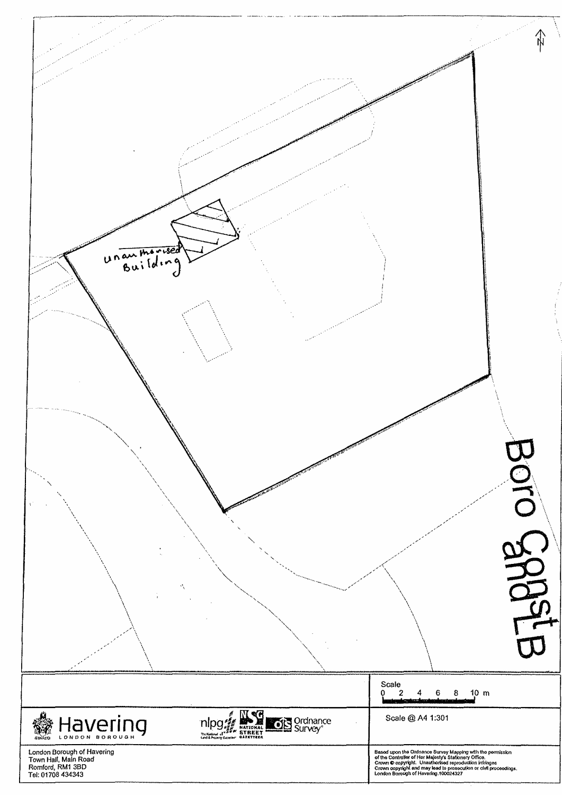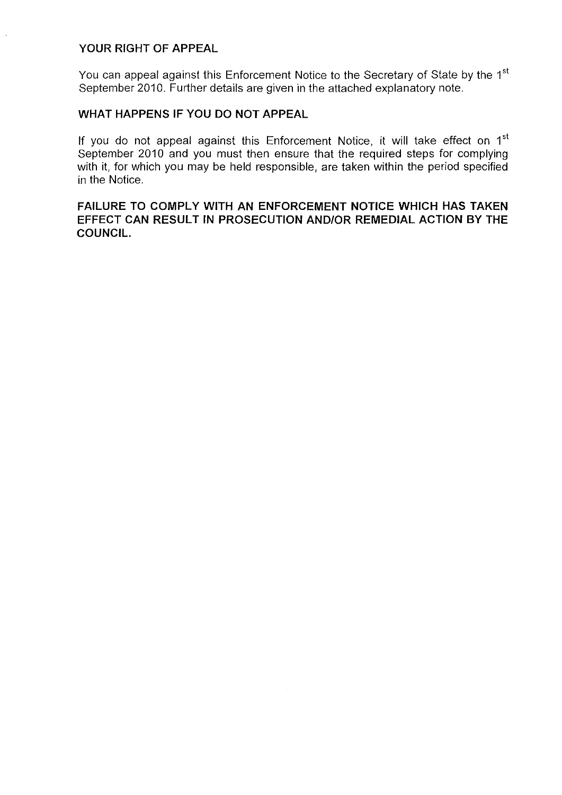#### **YOUR RIGHT OF APPEAL**

You can appeal against this Enforcement Notice to the Secretary of State by the 1<sup>st</sup> September 2010. Further details are given in the attached explanatory note.

#### **WHAT HAPPENS IF YOU DO NOT APPEAL**

If you do not appeal against this Enforcement Notice, it will take effect on  $1<sup>st</sup>$ September 2010 and you must then ensure that the required steps for complying with it, for which you may be held responsible, are taken within the period specified in the Notice.

#### **FAILURE TO COMPLY WITH AN ENFORCEMENT NOTICE WHICH HAS TAKEN EFFECT CAN RESULT IN PROSECUTION AND/OR REMEDIAL ACTION BY THE COUNCIL.**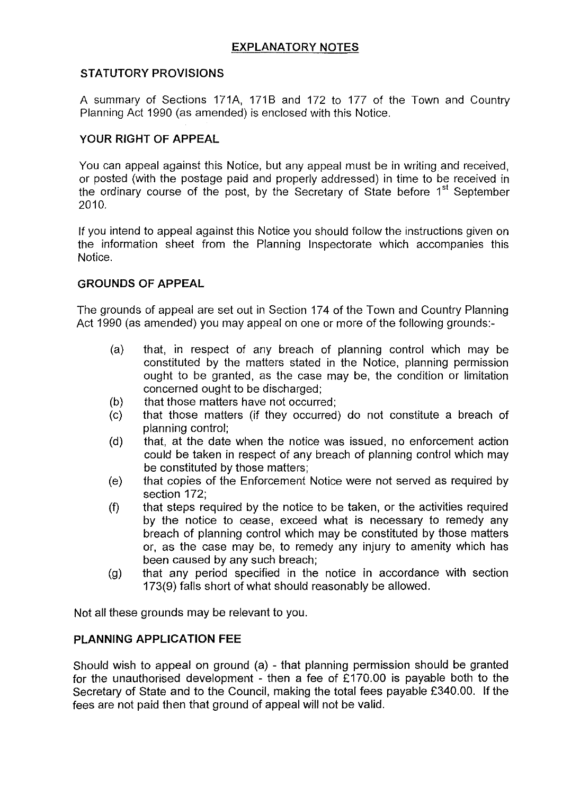# **STATUTORY PROVISIONS**

A summary of Sections 171A, 1718 and 172 to 177 of the Town and Country Planning Act 1990 (as amended) is enclosed with this Notice.

# **YOUR RIGHT OF APPEAL**

You can appeal against this Notice, but any appeal must be in writing and received, or posted (with the postage paid and properly addressed) in time to be received in the ordinary course of the post, by the Secretary of State before 1<sup>st</sup> September 2010.

If you intend to appeal against this Notice you should follow the instructions given on the information sheet from the Planning Inspectorate which accompanies this Notice.

### **GROUNDS OF APPEAL**

The grounds of appeal are set out in Section 174 of the Town and Country Planning Act 1990 (as amended) you may appeal on one or more of the following grounds:-

- (a) that, in respect of any breach of planning control which may be constituted by the matters stated in the Notice, planning permission ought to be granted, as the case may be, the condition or limitation concerned ought to be discharged;
- (b) that those matters have not occurred;
- (c) that those matters (if they occurred) do not constitute a breach of planning control;
- (d) that, at the date when the notice was issued, no enforcement action could be taken in respect of any breach of planning control which may be constituted by those matters;
- (e) that copies of the Enforcement Notice were not served as required by section 172;
- (f) that steps required by the notice to be taken, or the activities required by the notice to cease, exceed what is necessary to remedy any breach of planning control which may be constituted by those matters or, as the case may be, to remedy any injury to amenity which has been caused by any such breach;
- (g) that any period specified in the notice in accordance with section 173(9} falls short of what should reasonably be allowed.

Not all these grounds may be relevant to you.

### **PLANNING APPLICATION FEE**

Should wish to appeal on ground (a} - that planning permission should be granted for the unauthorised development - then a fee of £170.00 is payable both to the Secretary of State and to the Council, making the total fees payable £340.00. If the fees are not paid then that ground of appeal will not be valid.